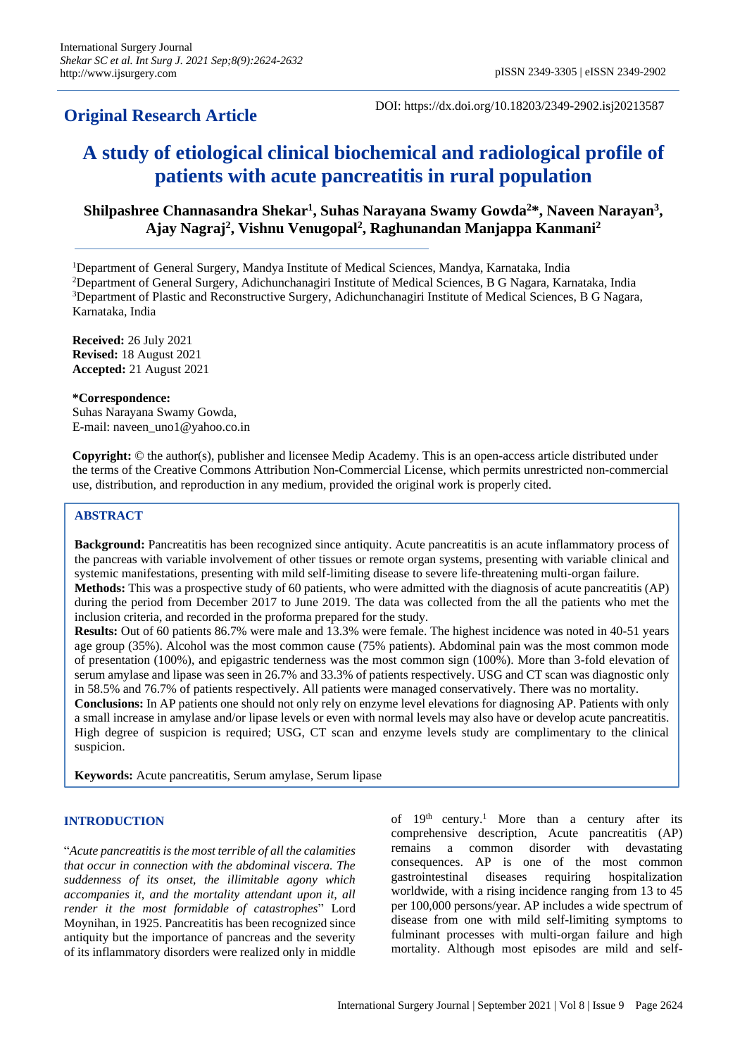## **Original Research Article**

DOI: https://dx.doi.org/10.18203/2349-2902.isj20213587

# **A study of etiological clinical biochemical and radiological profile of patients with acute pancreatitis in rural population**

## **Shilpashree Channasandra Shekar<sup>1</sup> , Suhas Narayana Swamy Gowda<sup>2</sup>\*, Naveen Narayan<sup>3</sup> , Ajay Nagraj<sup>2</sup> , Vishnu Venugopal<sup>2</sup> , Raghunandan Manjappa Kanmani<sup>2</sup>**

Department of General Surgery, Mandya Institute of Medical Sciences, Mandya, Karnataka, India Department of General Surgery, Adichunchanagiri Institute of Medical Sciences, B G Nagara, Karnataka, India Department of Plastic and Reconstructive Surgery, Adichunchanagiri Institute of Medical Sciences, B G Nagara, Karnataka, India

**Received:** 26 July 2021 **Revised:** 18 August 2021 **Accepted:** 21 August 2021

**\*Correspondence:**

Suhas Narayana Swamy Gowda, E-mail: naveen\_uno1@yahoo.co.in

**Copyright:** © the author(s), publisher and licensee Medip Academy. This is an open-access article distributed under the terms of the Creative Commons Attribution Non-Commercial License, which permits unrestricted non-commercial use, distribution, and reproduction in any medium, provided the original work is properly cited.

## **ABSTRACT**

**Background:** Pancreatitis has been recognized since antiquity. Acute pancreatitis is an acute inflammatory process of the pancreas with variable involvement of other tissues or remote organ systems, presenting with variable clinical and systemic manifestations, presenting with mild self-limiting disease to severe life-threatening multi-organ failure. **Methods:** This was a prospective study of 60 patients, who were admitted with the diagnosis of acute pancreatitis (AP) during the period from December 2017 to June 2019. The data was collected from the all the patients who met the inclusion criteria, and recorded in the proforma prepared for the study.

**Results:** Out of 60 patients 86.7% were male and 13.3% were female. The highest incidence was noted in 40-51 years age group (35%). Alcohol was the most common cause (75% patients). Abdominal pain was the most common mode of presentation (100%), and epigastric tenderness was the most common sign (100%). More than 3-fold elevation of serum amylase and lipase was seen in 26.7% and 33.3% of patients respectively. USG and CT scan was diagnostic only in 58.5% and 76.7% of patients respectively. All patients were managed conservatively. There was no mortality. **Conclusions:** In AP patients one should not only rely on enzyme level elevations for diagnosing AP. Patients with only a small increase in amylase and/or lipase levels or even with normal levels may also have or develop acute pancreatitis. High degree of suspicion is required; USG, CT scan and enzyme levels study are complimentary to the clinical suspicion.

**Keywords:** Acute pancreatitis, Serum amylase, Serum lipase

## **INTRODUCTION**

"*Acute pancreatitis is the most terrible of all the calamities that occur in connection with the abdominal viscera. The suddenness of its onset, the illimitable agony which accompanies it, and the mortality attendant upon it, all render it the most formidable of catastrophes*" Lord Moynihan, in 1925. Pancreatitis has been recognized since antiquity but the importance of pancreas and the severity of its inflammatory disorders were realized only in middle of  $19<sup>th</sup>$  century.<sup>1</sup> More than a century after its comprehensive description, Acute pancreatitis (AP) remains a common disorder with devastating consequences. AP is one of the most common gastrointestinal diseases requiring hospitalization worldwide, with a rising incidence ranging from 13 to 45 per 100,000 persons/year. AP includes a wide spectrum of disease from one with mild self-limiting symptoms to fulminant processes with multi-organ failure and high mortality. Although most episodes are mild and self-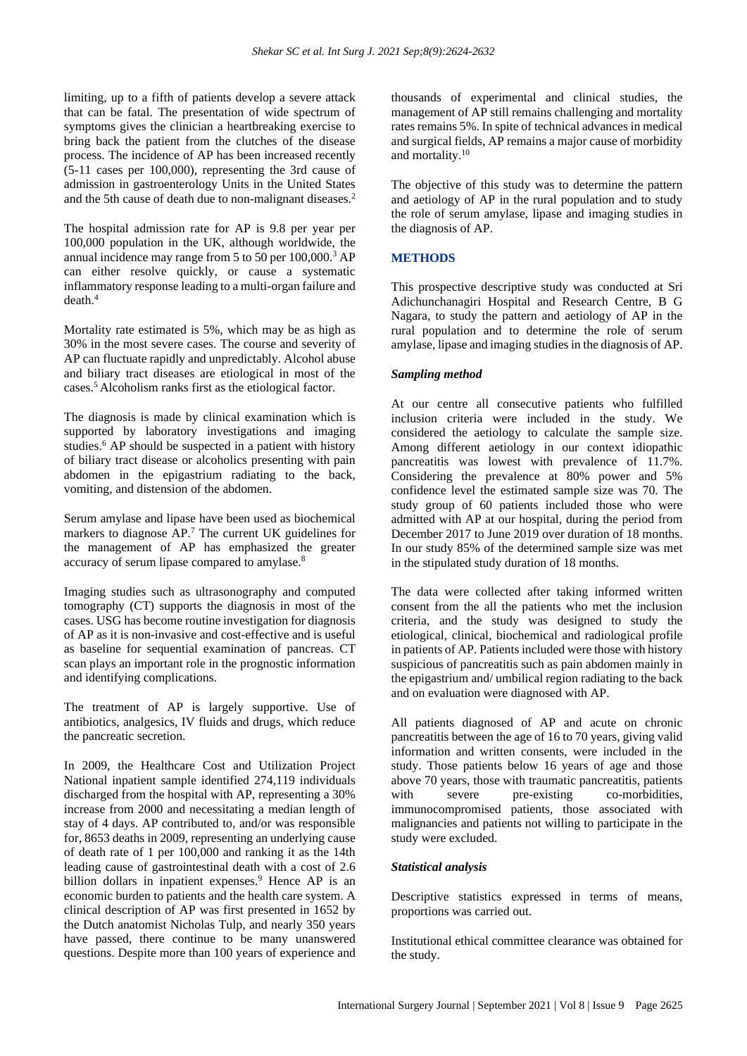limiting, up to a fifth of patients develop a severe attack that can be fatal. The presentation of wide spectrum of symptoms gives the clinician a heartbreaking exercise to bring back the patient from the clutches of the disease process. The incidence of AP has been increased recently (5-11 cases per 100,000), representing the 3rd cause of admission in gastroenterology Units in the United States and the 5th cause of death due to non-malignant diseases.<sup>2</sup>

The hospital admission rate for AP is 9.8 per year per 100,000 population in the UK, although worldwide, the annual incidence may range from 5 to 50 per 100,000.<sup>3</sup> AP can either resolve quickly, or cause a systematic inflammatory response leading to a multi-organ failure and death $4$ 

Mortality rate estimated is 5%, which may be as high as 30% in the most severe cases. The course and severity of AP can fluctuate rapidly and unpredictably. Alcohol abuse and biliary tract diseases are etiological in most of the cases.<sup>5</sup>Alcoholism ranks first as the etiological factor.

The diagnosis is made by clinical examination which is supported by laboratory investigations and imaging studies.<sup>6</sup> AP should be suspected in a patient with history of biliary tract disease or alcoholics presenting with pain abdomen in the epigastrium radiating to the back, vomiting, and distension of the abdomen.

Serum amylase and lipase have been used as biochemical markers to diagnose AP.<sup>7</sup> The current UK guidelines for the management of AP has emphasized the greater accuracy of serum lipase compared to amylase.<sup>8</sup>

Imaging studies such as ultrasonography and computed tomography (CT) supports the diagnosis in most of the cases. USG has become routine investigation for diagnosis of AP as it is non-invasive and cost-effective and is useful as baseline for sequential examination of pancreas. CT scan plays an important role in the prognostic information and identifying complications.

The treatment of AP is largely supportive. Use of antibiotics, analgesics, IV fluids and drugs, which reduce the pancreatic secretion.

In 2009, the Healthcare Cost and Utilization Project National inpatient sample identified 274,119 individuals discharged from the hospital with AP, representing a 30% increase from 2000 and necessitating a median length of stay of 4 days. AP contributed to, and/or was responsible for, 8653 deaths in 2009, representing an underlying cause of death rate of 1 per 100,000 and ranking it as the 14th leading cause of gastrointestinal death with a cost of 2.6 billion dollars in inpatient expenses.<sup>9</sup> Hence AP is an economic burden to patients and the health care system. A clinical description of AP was first presented in 1652 by the Dutch anatomist Nicholas Tulp, and nearly 350 years have passed, there continue to be many unanswered questions. Despite more than 100 years of experience and thousands of experimental and clinical studies, the management of AP still remains challenging and mortality rates remains 5%. In spite of technical advances in medical and surgical fields, AP remains a major cause of morbidity and mortality.<sup>10</sup>

The objective of this study was to determine the pattern and aetiology of AP in the rural population and to study the role of serum amylase, lipase and imaging studies in the diagnosis of AP.

## **METHODS**

This prospective descriptive study was conducted at Sri Adichunchanagiri Hospital and Research Centre, B G Nagara, to study the pattern and aetiology of AP in the rural population and to determine the role of serum amylase, lipase and imaging studies in the diagnosis of AP.

## *Sampling method*

At our centre all consecutive patients who fulfilled inclusion criteria were included in the study. We considered the aetiology to calculate the sample size. Among different aetiology in our context idiopathic pancreatitis was lowest with prevalence of 11.7%. Considering the prevalence at 80% power and 5% confidence level the estimated sample size was 70. The study group of 60 patients included those who were admitted with AP at our hospital, during the period from December 2017 to June 2019 over duration of 18 months. In our study 85% of the determined sample size was met in the stipulated study duration of 18 months.

The data were collected after taking informed written consent from the all the patients who met the inclusion criteria, and the study was designed to study the etiological, clinical, biochemical and radiological profile in patients of AP. Patients included were those with history suspicious of pancreatitis such as pain abdomen mainly in the epigastrium and/ umbilical region radiating to the back and on evaluation were diagnosed with AP.

All patients diagnosed of AP and acute on chronic pancreatitis between the age of 16 to 70 years, giving valid information and written consents, were included in the study. Those patients below 16 years of age and those above 70 years, those with traumatic pancreatitis, patients with severe pre-existing co-morbidities. immunocompromised patients, those associated with malignancies and patients not willing to participate in the study were excluded.

## *Statistical analysis*

Descriptive statistics expressed in terms of means, proportions was carried out.

Institutional ethical committee clearance was obtained for the study.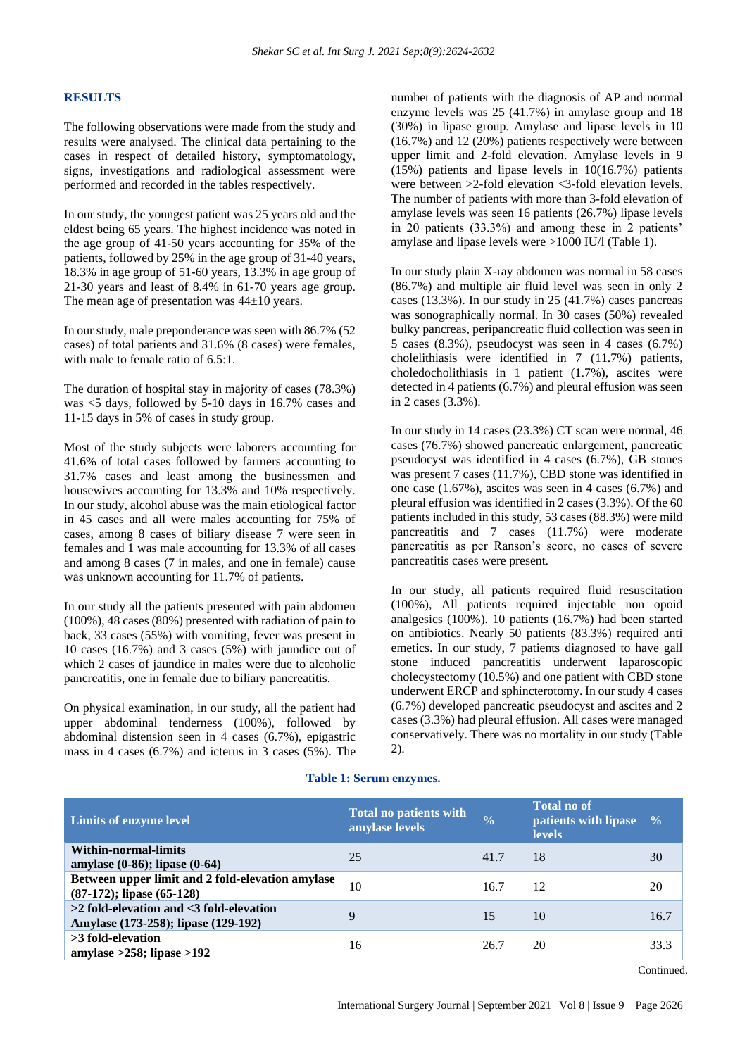#### **RESULTS**

The following observations were made from the study and results were analysed. The clinical data pertaining to the cases in respect of detailed history, symptomatology, signs, investigations and radiological assessment were performed and recorded in the tables respectively.

In our study, the youngest patient was 25 years old and the eldest being 65 years. The highest incidence was noted in the age group of 41-50 years accounting for 35% of the patients, followed by 25% in the age group of 31-40 years, 18.3% in age group of 51-60 years, 13.3% in age group of 21-30 years and least of 8.4% in 61-70 years age group. The mean age of presentation was  $44\pm10$  years.

In our study, male preponderance was seen with 86.7% (52 cases) of total patients and 31.6% (8 cases) were females, with male to female ratio of 6.5:1.

The duration of hospital stay in majority of cases (78.3%) was <5 days, followed by 5-10 days in 16.7% cases and 11-15 days in 5% of cases in study group.

Most of the study subjects were laborers accounting for 41.6% of total cases followed by farmers accounting to 31.7% cases and least among the businessmen and housewives accounting for 13.3% and 10% respectively. In our study, alcohol abuse was the main etiological factor in 45 cases and all were males accounting for 75% of cases, among 8 cases of biliary disease 7 were seen in females and 1 was male accounting for 13.3% of all cases and among 8 cases (7 in males, and one in female) cause was unknown accounting for 11.7% of patients.

In our study all the patients presented with pain abdomen (100%), 48 cases (80%) presented with radiation of pain to back, 33 cases (55%) with vomiting, fever was present in 10 cases (16.7%) and 3 cases (5%) with jaundice out of which 2 cases of jaundice in males were due to alcoholic pancreatitis, one in female due to biliary pancreatitis.

On physical examination, in our study, all the patient had upper abdominal tenderness (100%), followed by abdominal distension seen in 4 cases (6.7%), epigastric mass in 4 cases (6.7%) and icterus in 3 cases (5%). The number of patients with the diagnosis of AP and normal enzyme levels was 25 (41.7%) in amylase group and 18 (30%) in lipase group. Amylase and lipase levels in 10 (16.7%) and 12 (20%) patients respectively were between upper limit and 2-fold elevation. Amylase levels in 9 (15%) patients and lipase levels in 10(16.7%) patients were between >2-fold elevation <3-fold elevation levels. The number of patients with more than 3-fold elevation of amylase levels was seen 16 patients (26.7%) lipase levels in 20 patients (33.3%) and among these in 2 patients' amylase and lipase levels were >1000 IU/l (Table 1).

In our study plain X-ray abdomen was normal in 58 cases (86.7%) and multiple air fluid level was seen in only 2 cases (13.3%). In our study in 25 (41.7%) cases pancreas was sonographically normal. In 30 cases (50%) revealed bulky pancreas, peripancreatic fluid collection was seen in 5 cases (8.3%), pseudocyst was seen in 4 cases (6.7%) cholelithiasis were identified in 7 (11.7%) patients, choledocholithiasis in 1 patient (1.7%), ascites were detected in 4 patients (6.7%) and pleural effusion was seen in 2 cases (3.3%).

In our study in 14 cases (23.3%) CT scan were normal, 46 cases (76.7%) showed pancreatic enlargement, pancreatic pseudocyst was identified in 4 cases (6.7%), GB stones was present 7 cases (11.7%), CBD stone was identified in one case (1.67%), ascites was seen in 4 cases (6.7%) and pleural effusion was identified in 2 cases (3.3%). Of the 60 patients included in this study, 53 cases (88.3%) were mild pancreatitis and 7 cases (11.7%) were moderate pancreatitis as per Ranson's score, no cases of severe pancreatitis cases were present.

In our study, all patients required fluid resuscitation (100%), All patients required injectable non opoid analgesics (100%). 10 patients (16.7%) had been started on antibiotics. Nearly 50 patients (83.3%) required anti emetics. In our study, 7 patients diagnosed to have gall stone induced pancreatitis underwent laparoscopic cholecystectomy (10.5%) and one patient with CBD stone underwent ERCP and sphincterotomy. In our study 4 cases (6.7%) developed pancreatic pseudocyst and ascites and 2 cases (3.3%) had pleural effusion. All cases were managed conservatively. There was no mortality in our study (Table 2).

#### **Table 1: Serum enzymes.**

| <b>Limits of enzyme level</b>                                                       | <b>Total no patients with</b><br>amylase levels | $\frac{0}{0}$ | <b>Total no of</b><br>patients with lipase<br><b>levels</b> | $\frac{0}{0}$ |
|-------------------------------------------------------------------------------------|-------------------------------------------------|---------------|-------------------------------------------------------------|---------------|
| Within-normal-limits<br>amylase (0-86); lipase (0-64)                               | 25                                              | 41.7          | 18                                                          | 30            |
| Between upper limit and 2 fold-elevation amylase<br>$(87-172)$ ; lipase $(65-128)$  | 10                                              | 16.7          | 12                                                          | 20            |
| $>2$ fold-elevation and $<$ 3 fold-elevation<br>Amylase (173-258); lipase (129-192) | 9                                               | 15            | 10                                                          | 16.7          |
| $>3$ fold-elevation<br>amylase $>258$ ; lipase $>192$                               | 16                                              | 26.7          | 20                                                          | 33.3          |

Continued.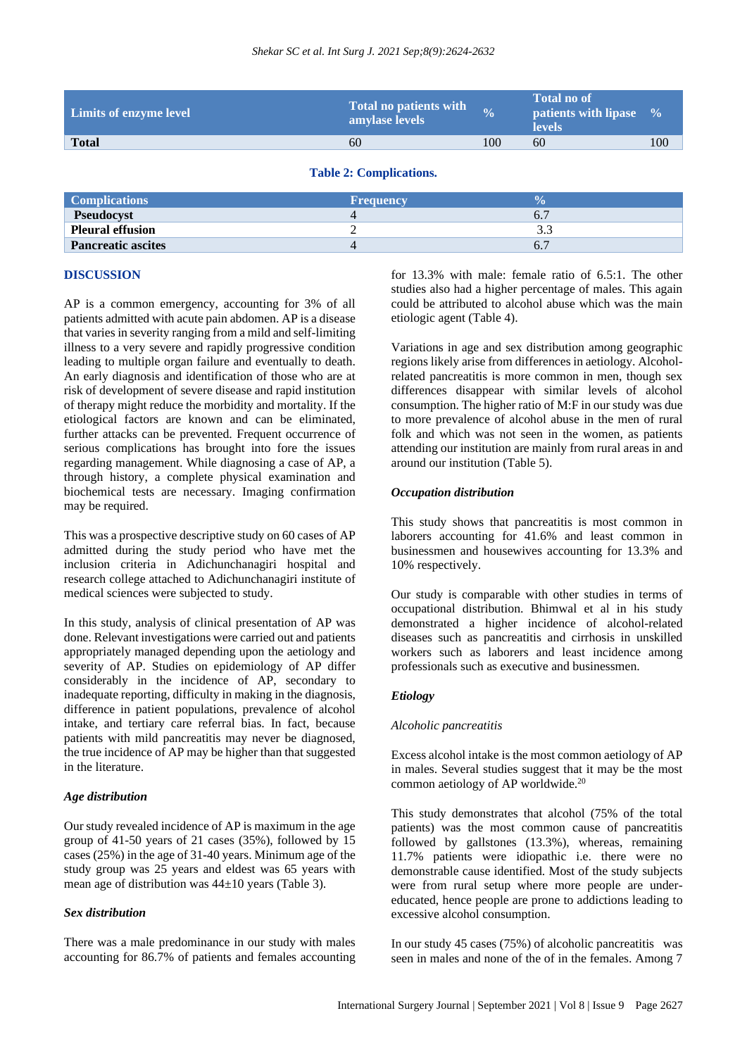| Limits of enzyme level | Total no patients with<br>amylase levels | $\frac{0}{2}$ | <b>Total no of</b><br><b>patients with lipase</b><br><b>levels</b> | $\frac{0}{0}$ |
|------------------------|------------------------------------------|---------------|--------------------------------------------------------------------|---------------|
| <b>Total</b>           | 60                                       | 100           | 60                                                                 | 100           |
|                        |                                          |               |                                                                    |               |

**Table 2: Complications.**

| <b>Complications</b>      | <b>Frequency</b> | V. |
|---------------------------|------------------|----|
| Pseudocyst                |                  |    |
| <b>Pleural effusion</b>   |                  |    |
| <b>Pancreatic ascites</b> |                  |    |
|                           |                  |    |

#### **DISCUSSION**

AP is a common emergency, accounting for 3% of all patients admitted with acute pain abdomen. AP is a disease that varies in severity ranging from a mild and self-limiting illness to a very severe and rapidly progressive condition leading to multiple organ failure and eventually to death. An early diagnosis and identification of those who are at risk of development of severe disease and rapid institution of therapy might reduce the morbidity and mortality. If the etiological factors are known and can be eliminated, further attacks can be prevented. Frequent occurrence of serious complications has brought into fore the issues regarding management. While diagnosing a case of AP, a through history, a complete physical examination and biochemical tests are necessary. Imaging confirmation may be required.

This was a prospective descriptive study on 60 cases of AP admitted during the study period who have met the inclusion criteria in Adichunchanagiri hospital and research college attached to Adichunchanagiri institute of medical sciences were subjected to study.

In this study, analysis of clinical presentation of AP was done. Relevant investigations were carried out and patients appropriately managed depending upon the aetiology and severity of AP. Studies on epidemiology of AP differ considerably in the incidence of AP, secondary to inadequate reporting, difficulty in making in the diagnosis, difference in patient populations, prevalence of alcohol intake, and tertiary care referral bias. In fact, because patients with mild pancreatitis may never be diagnosed, the true incidence of AP may be higher than that suggested in the literature.

#### *Age distribution*

Our study revealed incidence of AP is maximum in the age group of 41-50 years of 21 cases (35%), followed by 15 cases (25%) in the age of 31-40 years. Minimum age of the study group was 25 years and eldest was 65 years with mean age of distribution was 44±10 years (Table 3).

#### *Sex distribution*

There was a male predominance in our study with males accounting for 86.7% of patients and females accounting for 13.3% with male: female ratio of 6.5:1. The other studies also had a higher percentage of males. This again could be attributed to alcohol abuse which was the main etiologic agent (Table 4).

Variations in age and sex distribution among geographic regions likely arise from differences in aetiology. Alcoholrelated pancreatitis is more common in men, though sex differences disappear with similar levels of alcohol consumption. The higher ratio of M:F in our study was due to more prevalence of alcohol abuse in the men of rural folk and which was not seen in the women, as patients attending our institution are mainly from rural areas in and around our institution (Table 5).

#### *Occupation distribution*

This study shows that pancreatitis is most common in laborers accounting for 41.6% and least common in businessmen and housewives accounting for 13.3% and 10% respectively.

Our study is comparable with other studies in terms of occupational distribution. Bhimwal et al in his study demonstrated a higher incidence of alcohol-related diseases such as pancreatitis and cirrhosis in unskilled workers such as laborers and least incidence among professionals such as executive and businessmen.

#### *Etiology*

#### *Alcoholic pancreatitis*

Excess alcohol intake is the most common aetiology of AP in males. Several studies suggest that it may be the most common aetiology of AP worldwide.<sup>20</sup>

This study demonstrates that alcohol (75% of the total patients) was the most common cause of pancreatitis followed by gallstones (13.3%), whereas, remaining 11.7% patients were idiopathic i.e. there were no demonstrable cause identified. Most of the study subjects were from rural setup where more people are undereducated, hence people are prone to addictions leading to excessive alcohol consumption.

In our study 45 cases (75%) of alcoholic pancreatitis was seen in males and none of the of in the females. Among 7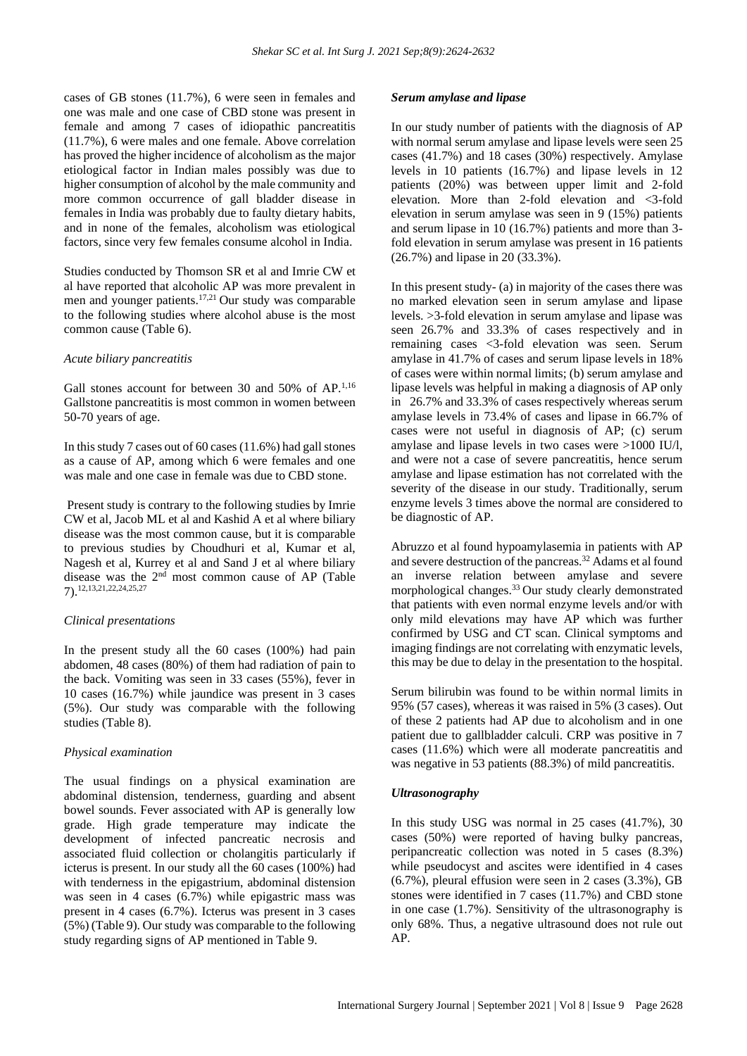cases of GB stones (11.7%), 6 were seen in females and one was male and one case of CBD stone was present in female and among 7 cases of idiopathic pancreatitis (11.7%), 6 were males and one female. Above correlation has proved the higher incidence of alcoholism as the major etiological factor in Indian males possibly was due to higher consumption of alcohol by the male community and more common occurrence of gall bladder disease in females in India was probably due to faulty dietary habits, and in none of the females, alcoholism was etiological factors, since very few females consume alcohol in India.

Studies conducted by Thomson SR et al and Imrie CW et al have reported that alcoholic AP was more prevalent in men and younger patients.17,21 Our study was comparable to the following studies where alcohol abuse is the most common cause (Table 6).

#### *Acute biliary pancreatitis*

Gall stones account for between 30 and 50% of  $AP$ .<sup>1,16</sup> Gallstone pancreatitis is most common in women between 50-70 years of age.

In this study 7 cases out of 60 cases (11.6%) had gall stones as a cause of AP, among which 6 were females and one was male and one case in female was due to CBD stone.

Present study is contrary to the following studies by Imrie CW et al, Jacob ML et al and Kashid A et al where biliary disease was the most common cause, but it is comparable to previous studies by Choudhuri et al, Kumar et al, Nagesh et al, Kurrey et al and Sand J et al where biliary disease was the 2nd most common cause of AP (Table 7).12,13,21,22,24,25,27

#### *Clinical presentations*

In the present study all the 60 cases (100%) had pain abdomen, 48 cases (80%) of them had radiation of pain to the back. Vomiting was seen in 33 cases (55%), fever in 10 cases (16.7%) while jaundice was present in 3 cases (5%). Our study was comparable with the following studies (Table 8).

#### *Physical examination*

The usual findings on a physical examination are abdominal distension, tenderness, guarding and absent bowel sounds. Fever associated with AP is generally low grade. High grade temperature may indicate the development of infected pancreatic necrosis and associated fluid collection or cholangitis particularly if icterus is present. In our study all the 60 cases (100%) had with tenderness in the epigastrium, abdominal distension was seen in 4 cases (6.7%) while epigastric mass was present in 4 cases (6.7%). Icterus was present in 3 cases (5%) (Table 9). Our study was comparable to the following study regarding signs of AP mentioned in Table 9.

#### *Serum amylase and lipase*

In our study number of patients with the diagnosis of AP with normal serum amylase and lipase levels were seen 25 cases (41.7%) and 18 cases (30%) respectively. Amylase levels in 10 patients (16.7%) and lipase levels in 12 patients (20%) was between upper limit and 2-fold elevation. More than 2-fold elevation and <3-fold elevation in serum amylase was seen in 9 (15%) patients and serum lipase in 10 (16.7%) patients and more than 3 fold elevation in serum amylase was present in 16 patients (26.7%) and lipase in 20 (33.3%).

In this present study- (a) in majority of the cases there was no marked elevation seen in serum amylase and lipase levels. >3-fold elevation in serum amylase and lipase was seen 26.7% and 33.3% of cases respectively and in remaining cases <3-fold elevation was seen. Serum amylase in 41.7% of cases and serum lipase levels in 18% of cases were within normal limits; (b) serum amylase and lipase levels was helpful in making a diagnosis of AP only in 26.7% and 33.3% of cases respectively whereas serum amylase levels in 73.4% of cases and lipase in 66.7% of cases were not useful in diagnosis of AP; (c) serum amylase and lipase levels in two cases were >1000 IU/l, and were not a case of severe pancreatitis, hence serum amylase and lipase estimation has not correlated with the severity of the disease in our study. Traditionally, serum enzyme levels 3 times above the normal are considered to be diagnostic of AP.

Abruzzo et al found hypoamylasemia in patients with AP and severe destruction of the pancreas.<sup>32</sup> Adams et al found an inverse relation between amylase and severe morphological changes.<sup>33</sup> Our study clearly demonstrated that patients with even normal enzyme levels and/or with only mild elevations may have AP which was further confirmed by USG and CT scan. Clinical symptoms and imaging findings are not correlating with enzymatic levels, this may be due to delay in the presentation to the hospital.

Serum bilirubin was found to be within normal limits in 95% (57 cases), whereas it was raised in 5% (3 cases). Out of these 2 patients had AP due to alcoholism and in one patient due to gallbladder calculi. CRP was positive in 7 cases (11.6%) which were all moderate pancreatitis and was negative in 53 patients (88.3%) of mild pancreatitis.

#### *Ultrasonography*

In this study USG was normal in 25 cases (41.7%), 30 cases (50%) were reported of having bulky pancreas, peripancreatic collection was noted in 5 cases (8.3%) while pseudocyst and ascites were identified in 4 cases (6.7%), pleural effusion were seen in 2 cases (3.3%), GB stones were identified in 7 cases (11.7%) and CBD stone in one case (1.7%). Sensitivity of the ultrasonography is only 68%. Thus, a negative ultrasound does not rule out AP.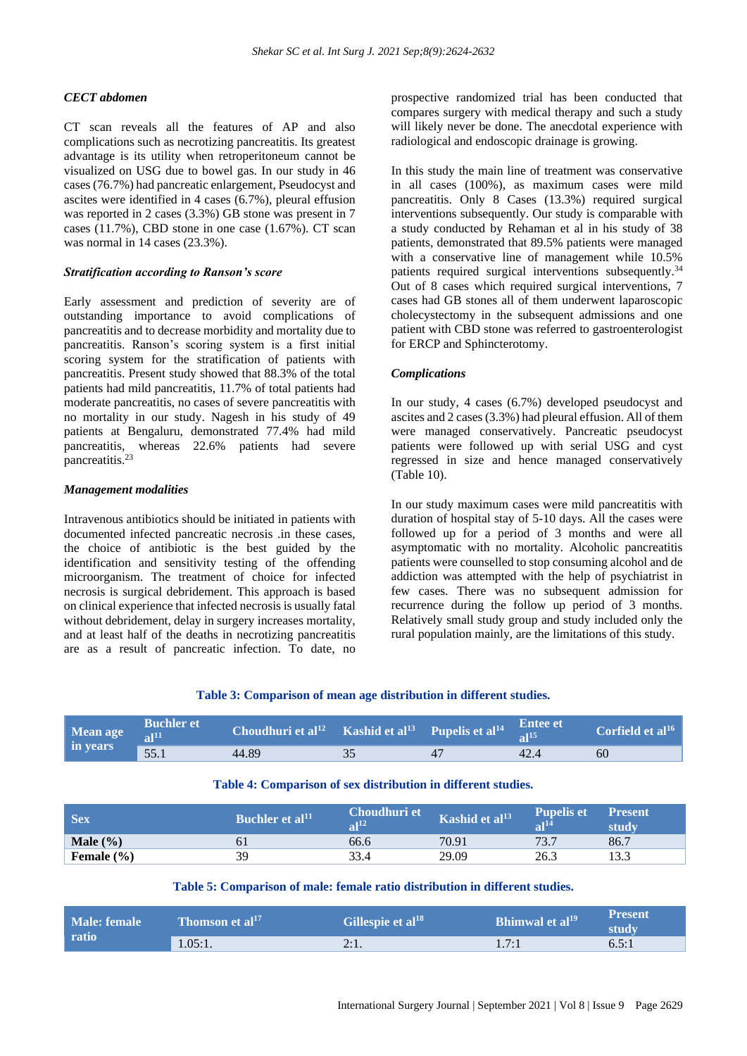#### *CECT abdomen*

CT scan reveals all the features of AP and also complications such as necrotizing pancreatitis. Its greatest advantage is its utility when retroperitoneum cannot be visualized on USG due to bowel gas. In our study in 46 cases (76.7%) had pancreatic enlargement, Pseudocyst and ascites were identified in 4 cases (6.7%), pleural effusion was reported in 2 cases (3.3%) GB stone was present in 7 cases (11.7%), CBD stone in one case (1.67%). CT scan was normal in 14 cases (23.3%).

#### *Stratification according to Ranson's score*

Early assessment and prediction of severity are of outstanding importance to avoid complications of pancreatitis and to decrease morbidity and mortality due to pancreatitis. Ranson's scoring system is a first initial scoring system for the stratification of patients with pancreatitis. Present study showed that 88.3% of the total patients had mild pancreatitis, 11.7% of total patients had moderate pancreatitis, no cases of severe pancreatitis with no mortality in our study. Nagesh in his study of 49 patients at Bengaluru, demonstrated 77.4% had mild pancreatitis, whereas 22.6% patients had severe pancreatitis.<sup>23</sup>

#### *Management modalities*

Intravenous antibiotics should be initiated in patients with documented infected pancreatic necrosis .in these cases, the choice of antibiotic is the best guided by the identification and sensitivity testing of the offending microorganism. The treatment of choice for infected necrosis is surgical debridement. This approach is based on clinical experience that infected necrosis is usually fatal without debridement, delay in surgery increases mortality, and at least half of the deaths in necrotizing pancreatitis are as a result of pancreatic infection. To date, no

prospective randomized trial has been conducted that compares surgery with medical therapy and such a study will likely never be done. The anecdotal experience with radiological and endoscopic drainage is growing.

In this study the main line of treatment was conservative in all cases (100%), as maximum cases were mild pancreatitis. Only 8 Cases (13.3%) required surgical interventions subsequently. Our study is comparable with a study conducted by Rehaman et al in his study of 38 patients, demonstrated that 89.5% patients were managed with a conservative line of management while  $10.5\%$ patients required surgical interventions subsequently.<sup>34</sup> Out of 8 cases which required surgical interventions, 7 cases had GB stones all of them underwent laparoscopic cholecystectomy in the subsequent admissions and one patient with CBD stone was referred to gastroenterologist for ERCP and Sphincterotomy.

#### *Complications*

In our study, 4 cases (6.7%) developed pseudocyst and ascites and 2 cases (3.3%) had pleural effusion. All of them were managed conservatively. Pancreatic pseudocyst patients were followed up with serial USG and cyst regressed in size and hence managed conservatively (Table 10).

In our study maximum cases were mild pancreatitis with duration of hospital stay of 5-10 days. All the cases were followed up for a period of 3 months and were all asymptomatic with no mortality. Alcoholic pancreatitis patients were counselled to stop consuming alcohol and de addiction was attempted with the help of psychiatrist in few cases. There was no subsequent admission for recurrence during the follow up period of 3 months. Relatively small study group and study included only the rural population mainly, are the limitations of this study.

#### **Table 3: Comparison of mean age distribution in different studies.**

| Mean age<br>in years | <b>Buchler et</b> | Choudhuri et al <sup>12</sup> Kashid et al <sup>13</sup> Pupelis et al <sup>14</sup> $\frac{\text{Entee et}}{1^{15}}$ |  |      | Corfield et al $^{16}$ |
|----------------------|-------------------|-----------------------------------------------------------------------------------------------------------------------|--|------|------------------------|
|                      | 55.1              | 44.89                                                                                                                 |  | 42.4 | 60                     |

|  |  |  |  |  |  |  | Table 4: Comparison of sex distribution in different studies. |  |  |  |
|--|--|--|--|--|--|--|---------------------------------------------------------------|--|--|--|
|--|--|--|--|--|--|--|---------------------------------------------------------------|--|--|--|

| <b>Sex</b>     | Buchler et al <sup>11</sup> | Choudhuri et<br>$\Omega$ <sup>12</sup> | Kashid et al <sup>13</sup> | 'Pupelis et,<br>$\sim$ 114 | <b>Present</b><br>studv |
|----------------|-----------------------------|----------------------------------------|----------------------------|----------------------------|-------------------------|
| Male $(\% )$   |                             | 66.6                                   | 70.91                      | 73.7                       | 86.7                    |
| Female $(\% )$ | 39                          |                                        | 29.09                      |                            | 122                     |

#### **Table 5: Comparison of male: female ratio distribution in different studies.**

| Male: female<br>ratio | Thomson et al <sup>17</sup> | Gillespie et al <sup>18</sup> | <b>Bhimwal et al<sup>19</sup></b> | <b>Present</b><br>study |
|-----------------------|-----------------------------|-------------------------------|-----------------------------------|-------------------------|
|                       | 1.05:1.                     | 2:1.                          | 1.7:1                             | 6.5:1                   |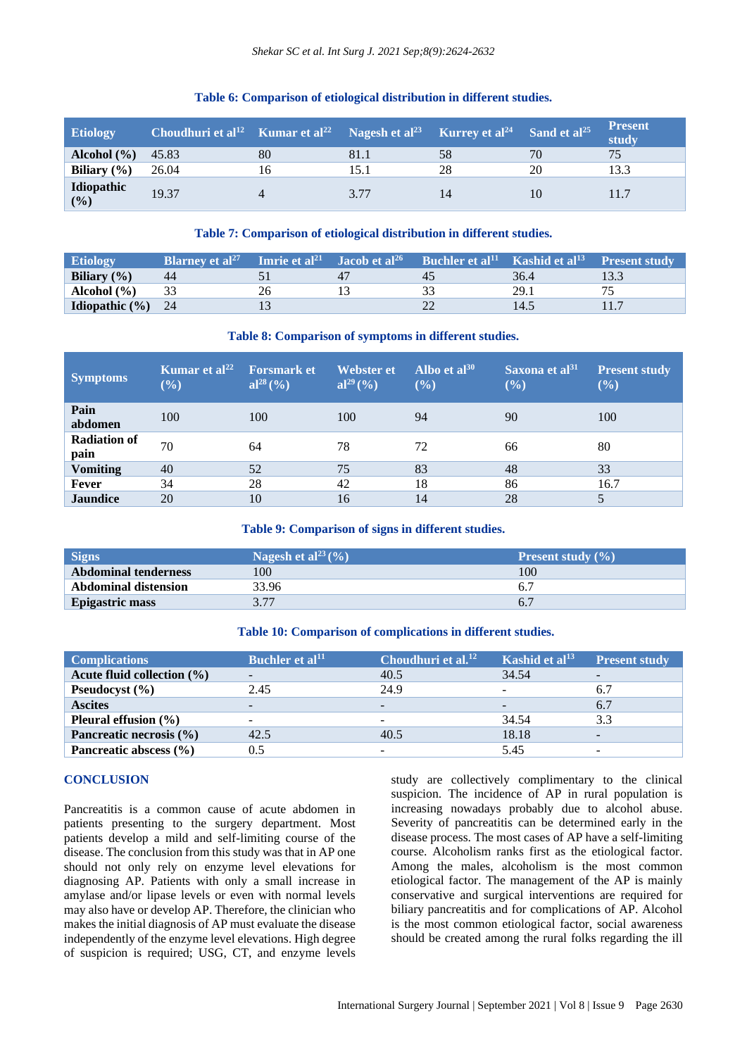| <b>Etiology</b>              | Choudhuri et al <sup>12</sup> Kumar et al <sup>22</sup> Nagesh et al <sup>23</sup> Kurrey et al <sup>24</sup> Sand et al <sup>25</sup> |    |      |    |    | <b>Present</b><br>study |
|------------------------------|----------------------------------------------------------------------------------------------------------------------------------------|----|------|----|----|-------------------------|
| <b>Alcohol</b> $(\% )$ 45.83 |                                                                                                                                        | 80 | 81.1 | 58 | 70 | 75                      |
| Biliary $(\% )$              | 26.04                                                                                                                                  | 16 | 15.1 | 28 | 20 | 13.3                    |
| Idiopathic $(\% )$           | 19.37                                                                                                                                  |    | 3.77 |    |    |                         |

#### **Table 6: Comparison of etiological distribution in different studies.**

#### **Table 7: Comparison of etiological distribution in different studies.**

| <b>Etiology</b>              | <b>Blarney et al</b> <sup>27</sup> | <b>Imrie et al<sup>21</sup></b> Jacob et al <sup>26</sup> | <b>EXECUTE:</b> Buchler et al <sup>11</sup> Kashid et al <sup>13</sup> Present study |      |      |
|------------------------------|------------------------------------|-----------------------------------------------------------|--------------------------------------------------------------------------------------|------|------|
| Biliary $(\% )$              | 44                                 |                                                           | 45                                                                                   | 36.4 | 13.3 |
| Alcohol (%)                  |                                    | 26                                                        |                                                                                      | 29.1 |      |
| <b>Idiopathic</b> $(\% )$ 24 |                                    |                                                           |                                                                                      | 14.5 |      |

#### **Table 8: Comparison of symptoms in different studies.**

| <b>Symptoms</b>             | Kumar et al <sup>22</sup><br>$(\%)$ | <b>Forsmark et</b><br>$al^{28}$ (%) | Webster et<br>$al^{29}$ (%) | Albo et al $^{30}$<br>(%) | Saxona et al <sup>31</sup><br>(%) | <b>Present study</b><br>$(\%)$ |
|-----------------------------|-------------------------------------|-------------------------------------|-----------------------------|---------------------------|-----------------------------------|--------------------------------|
| Pain<br>abdomen             | 100                                 | 100                                 | 100                         | 94                        | 90                                | 100                            |
| <b>Radiation of</b><br>pain | 70                                  | 64                                  | 78                          | 72                        | 66                                | 80                             |
| <b>Vomiting</b>             | 40                                  | 52                                  | 75                          | 83                        | 48                                | 33                             |
| Fever                       | 34                                  | 28                                  | 42                          | 18                        | 86                                | 16.7                           |
| <b>Jaundice</b>             | 20                                  | 10                                  | 16                          | 14                        | 28                                |                                |

**Table 9: Comparison of signs in different studies.**

| <b>Signs</b>                | Nagesh et al <sup>23</sup> $(\% )$ | <b>Present study</b> $(\% )$ |
|-----------------------------|------------------------------------|------------------------------|
| <b>Abdominal tenderness</b> | 100                                | 100                          |
| <b>Abdominal distension</b> | 33.96                              |                              |
| <b>Epigastric mass</b>      | 3.77                               |                              |

#### **Table 10: Comparison of complications in different studies.**

| <b>Complications</b>           | Buchler et al <sup>11</sup> | Choudhuri et al. <sup>12</sup> | Kashid et al $^{13}$ | <b>Present study</b>     |
|--------------------------------|-----------------------------|--------------------------------|----------------------|--------------------------|
| Acute fluid collection $(\% )$ | $\overline{\phantom{a}}$    | 40.5                           | 34.54                |                          |
| <b>Pseudocyst</b> $(\% )$      | 2.45                        | 24.9                           |                      | 6.7                      |
| <b>Ascites</b>                 | $\overline{\phantom{a}}$    | $\overline{\phantom{0}}$       |                      | 6.7                      |
| Pleural effusion $(\% )$       | $\overline{\phantom{a}}$    | $\overline{\phantom{a}}$       | 34.54                | 3.3                      |
| Pancreatic necrosis (%)        | 42.5                        | 40.5                           | 18.18                | $\overline{\phantom{a}}$ |
| Pancreatic abscess $(\% )$     | 0.5                         | $\sim$                         | 5.45                 | $\overline{\phantom{0}}$ |

#### **CONCLUSION**

Pancreatitis is a common cause of acute abdomen in patients presenting to the surgery department. Most patients develop a mild and self-limiting course of the disease. The conclusion from this study was that in AP one should not only rely on enzyme level elevations for diagnosing AP. Patients with only a small increase in amylase and/or lipase levels or even with normal levels may also have or develop AP. Therefore, the clinician who makes the initial diagnosis of AP must evaluate the disease independently of the enzyme level elevations. High degree of suspicion is required; USG, CT, and enzyme levels

study are collectively complimentary to the clinical suspicion. The incidence of AP in rural population is increasing nowadays probably due to alcohol abuse. Severity of pancreatitis can be determined early in the disease process. The most cases of AP have a self-limiting course. Alcoholism ranks first as the etiological factor. Among the males, alcoholism is the most common etiological factor. The management of the AP is mainly conservative and surgical interventions are required for biliary pancreatitis and for complications of AP. Alcohol is the most common etiological factor, social awareness should be created among the rural folks regarding the ill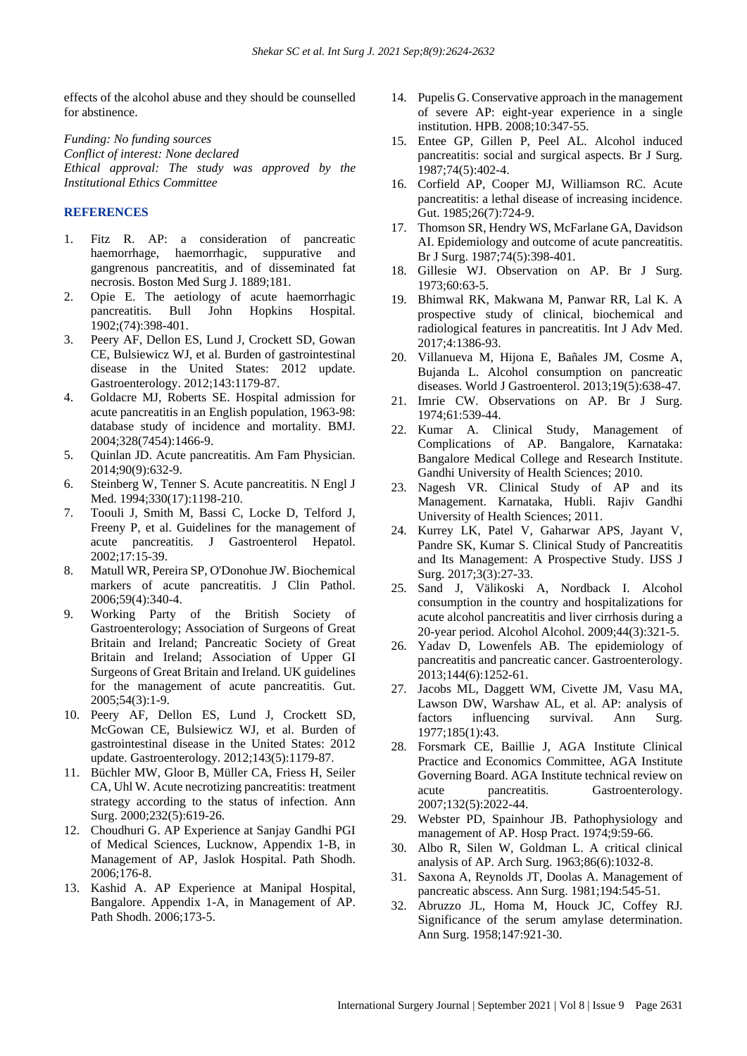effects of the alcohol abuse and they should be counselled for abstinence.

*Funding: No funding sources Conflict of interest: None declared Ethical approval: The study was approved by the Institutional Ethics Committee*

## **REFERENCES**

- 1. Fitz R. AP: a consideration of pancreatic haemorrhage, haemorrhagic, suppurative and gangrenous pancreatitis, and of disseminated fat necrosis. Boston Med Surg J. 1889;181.
- 2. Opie E. The aetiology of acute haemorrhagic pancreatitis. Bull John Hopkins Hospital. 1902;(74):398-401.
- 3. Peery AF, Dellon ES, Lund J, Crockett SD, Gowan CE, Bulsiewicz WJ, et al. Burden of gastrointestinal disease in the United States: 2012 update. Gastroenterology. 2012;143:1179-87.
- 4. Goldacre MJ, Roberts SE. Hospital admission for acute pancreatitis in an English population, 1963-98: database study of incidence and mortality. BMJ. 2004;328(7454):1466-9.
- 5. Quinlan JD. Acute pancreatitis. Am Fam Physician. 2014;90(9):632-9.
- 6. Steinberg W, Tenner S. Acute pancreatitis. N Engl J Med. 1994;330(17):1198-210.
- 7. Toouli J, Smith M, Bassi C, Locke D, Telford J, Freeny P, et al. Guidelines for the management of acute pancreatitis. J Gastroenterol Hepatol. 2002;17:15-39.
- 8. Matull WR, Pereira SP, O'Donohue JW. Biochemical markers of acute pancreatitis. J Clin Pathol. 2006;59(4):340-4.
- 9. Working Party of the British Society of Gastroenterology; Association of Surgeons of Great Britain and Ireland; Pancreatic Society of Great Britain and Ireland; Association of Upper GI Surgeons of Great Britain and Ireland. UK guidelines for the management of acute pancreatitis. Gut. 2005;54(3):1-9.
- 10. Peery AF, Dellon ES, Lund J, Crockett SD, McGowan CE, Bulsiewicz WJ, et al. Burden of gastrointestinal disease in the United States: 2012 update. Gastroenterology. 2012;143(5):1179-87.
- 11. Büchler MW, Gloor B, Müller CA, Friess H, Seiler CA, Uhl W. Acute necrotizing pancreatitis: treatment strategy according to the status of infection. Ann Surg. 2000;232(5):619-26.
- 12. Choudhuri G. AP Experience at Sanjay Gandhi PGI of Medical Sciences, Lucknow, Appendix 1-B, in Management of AP, Jaslok Hospital. Path Shodh. 2006;176-8.
- 13. Kashid A. AP Experience at Manipal Hospital, Bangalore. Appendix 1-A, in Management of AP. Path Shodh. 2006;173-5.
- 14. Pupelis G. Conservative approach in the management of severe AP: eight-year experience in a single institution. HPB. 2008;10:347-55.
- 15. Entee GP, Gillen P, Peel AL. Alcohol induced pancreatitis: social and surgical aspects. Br J Surg. 1987;74(5):402-4.
- 16. Corfield AP, Cooper MJ, Williamson RC. Acute pancreatitis: a lethal disease of increasing incidence. Gut. 1985;26(7):724-9.
- 17. Thomson SR, Hendry WS, McFarlane GA, Davidson AI. Epidemiology and outcome of acute pancreatitis. Br J Surg. 1987;74(5):398-401.
- 18. Gillesie WJ. Observation on AP. Br J Surg. 1973;60:63-5.
- 19. Bhimwal RK, Makwana M, Panwar RR, Lal K. A prospective study of clinical, biochemical and radiological features in pancreatitis. Int J Adv Med. 2017;4:1386-93.
- 20. Villanueva M, Hijona E, Bañales JM, Cosme A, Bujanda L. Alcohol consumption on pancreatic diseases. World J Gastroenterol. 2013;19(5):638-47.
- 21. Imrie CW. Observations on AP. Br J Surg. 1974;61:539-44.
- 22. Kumar A. Clinical Study, Management of Complications of AP. Bangalore, Karnataka: Bangalore Medical College and Research Institute. Gandhi University of Health Sciences; 2010.
- 23. Nagesh VR. Clinical Study of AP and its Management. Karnataka, Hubli. Rajiv Gandhi University of Health Sciences; 2011.
- 24. Kurrey LK, Patel V, Gaharwar APS, Jayant V, Pandre SK, Kumar S. Clinical Study of Pancreatitis and Its Management: A Prospective Study. IJSS J Surg. 2017;3(3):27-33.
- 25. Sand J, Välikoski A, Nordback I. Alcohol consumption in the country and hospitalizations for acute alcohol pancreatitis and liver cirrhosis during a 20-year period. Alcohol Alcohol. 2009;44(3):321-5.
- 26. Yadav D, Lowenfels AB. The epidemiology of pancreatitis and pancreatic cancer. Gastroenterology. 2013;144(6):1252-61.
- 27. Jacobs ML, Daggett WM, Civette JM, Vasu MA, Lawson DW, Warshaw AL, et al. AP: analysis of factors influencing survival. Ann Surg. 1977;185(1):43.
- 28. Forsmark CE, Baillie J, AGA Institute Clinical Practice and Economics Committee, AGA Institute Governing Board. AGA Institute technical review on acute pancreatitis. Gastroenterology. 2007;132(5):2022-44.
- 29. Webster PD, Spainhour JB. Pathophysiology and management of AP. Hosp Pract. 1974;9:59-66.
- 30. Albo R, Silen W, Goldman L. A critical clinical analysis of AP. Arch Surg. 1963;86(6):1032-8.
- 31. Saxona A, Reynolds JT, Doolas A. Management of pancreatic abscess. Ann Surg. 1981;194:545-51.
- 32. Abruzzo JL, Homa M, Houck JC, Coffey RJ. Significance of the serum amylase determination. Ann Surg. 1958;147:921-30.